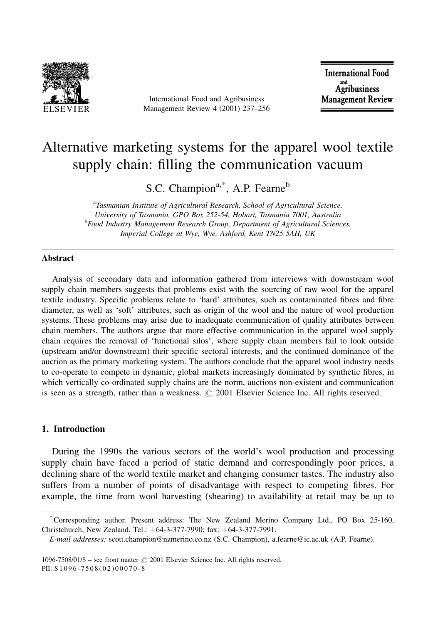

International Food and Agribusiness Management Review 4 (2001) 237-256

**International Food** and<br>Agribusiness **Management Review** 

# Alternative marketing systems for the apparel wool textile supply chain: filling the communication vacuum

S.C. Champion<sup>a,\*</sup>, A.P. Fearne<sup>b</sup>

<sup>a</sup>Tasmanian Institute of Agricultural Research, School of Agricultural Science, University of Tasmania, GPO Box 252-54, Hobart, Tasmania 7001, Australia <sup>b</sup>Food Industry Management Research Group, Department of Agricultural Sciences, Imperial College at Wye, Wye, Ashford, Kent TN25 5AH, UK

#### **Abstract**

Analysis of secondary data and information gathered from interviews with downstream wool supply chain members suggests that problems exist with the sourcing of raw wool for the apparel textile industry. Specific problems relate to 'hard' attributes, such as contaminated fibres and fibre diameter, as well as 'soft' attributes, such as origin of the wool and the nature of wool production systems. These problems may arise due to inadequate communication of quality attributes between chain members. The authors argue that more effective communication in the apparel wool supply chain requires the removal of 'functional silos', where supply chain members fail to look outside (upstream and/or downstream) their specific sectoral interests, and the continued dominance of the auction as the primary marketing system. The authors conclude that the apparel wool industry needs to co-operate to compete in dynamic, global markets increasingly dominated by synthetic fibres, in which vertically co-ordinated supply chains are the norm, auctions non-existent and communication is seen as a strength, rather than a weakness.  $\odot$  2001 Elsevier Science Inc. All rights reserved.

## 1. Introduction

During the 1990s the various sectors of the world's wool production and processing supply chain have faced a period of static demand and correspondingly poor prices, a declining share of the world textile market and changing consumer tastes. The industry also suffers from a number of points of disadvantage with respect to competing fibres. For example, the time from wool harvesting (shearing) to availability at retail may be up to

Corresponding author. Present address: The New Zealand Merino Company Ltd., PO Box 25-160, Christchurch, New Zealand. Tel.: +64-3-377-7990; fax: +64-3-377-7991.

E-mail addresses: scott.champion@nzmerino.co.nz (S.C. Champion), a.fearne@ic.ac.uk (A.P. Fearne).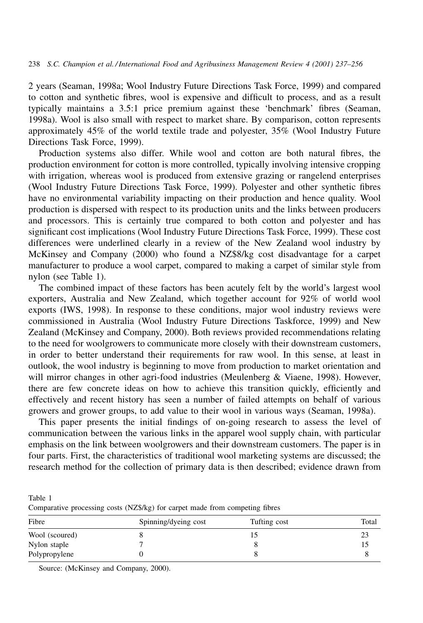2 years (Seaman, 1998a; Wool Industry Future Directions Task Force, 1999) and compared to cotton and synthetic fibres, wool is expensive and difficult to process, and as a result typically maintains a 3.5:1 price premium against these 'benchmark' fibres (Seaman, 1998a). Wool is also small with respect to market share. By comparison, cotton represents approximately 45% of the world textile trade and polyester, 35% (Wool Industry Future Directions Task Force, 1999).

Production systems also differ. While wool and cotton are both natural fibres, the production environment for cotton is more controlled, typically involving intensive cropping with irrigation, whereas wool is produced from extensive grazing or rangelend enterprises (Wool Industry Future Directions Task Force, 1999). Polyester and other synthetic fibres have no environmental variability impacting on their production and hence quality. Wool production is dispersed with respect to its production units and the links between producers and processors. This is certainly true compared to both cotton and polyester and has significant cost implications (Wool Industry Future Directions Task Force, 1999). These cost differences were underlined clearly in a review of the New Zealand wool industry by McKinsey and Company (2000) who found a NZ\$8/kg cost disadvantage for a carpet manufacturer to produce a wool carpet, compared to making a carpet of similar style from nylon (see Table 1).

The combined impact of these factors has been acutely felt by the world's largest wool exporters, Australia and New Zealand, which together account for 92% of world wool exports (IWS, 1998). In response to these conditions, major wool industry reviews were commissioned in Australia (Wool Industry Future Directions Taskforce, 1999) and New Zealand (McKinsey and Company, 2000). Both reviews provided recommendations relating to the need for woolgrowers to communicate more closely with their downstream customers, in order to better understand their requirements for raw wool. In this sense, at least in outlook, the wool industry is beginning to move from production to market orientation and will mirror changes in other agri-food industries (Meulenberg & Viaene, 1998). However, there are few concrete ideas on how to achieve this transition quickly, efficiently and effectively and recent history has seen a number of failed attempts on behalf of various growers and grower groups, to add value to their wool in various ways (Seaman, 1998a).

This paper presents the initial findings of on-going research to assess the level of communication between the various links in the apparel wool supply chain, with particular emphasis on the link between woolgrowers and their downstream customers. The paper is in four parts. First, the characteristics of traditional wool marketing systems are discussed; the research method for the collection of primary data is then described; evidence drawn from

Table 1 Comparative processing costs (NZ\$/kg) for carpet made from competing fibres

| Fibre          | Spinning/dyeing cost | Tufting cost | Total |
|----------------|----------------------|--------------|-------|
| Wool (scoured) |                      |              |       |
| Nylon staple   |                      |              |       |
| Polypropylene  |                      |              |       |

Source: (McKinsey and Company, 2000).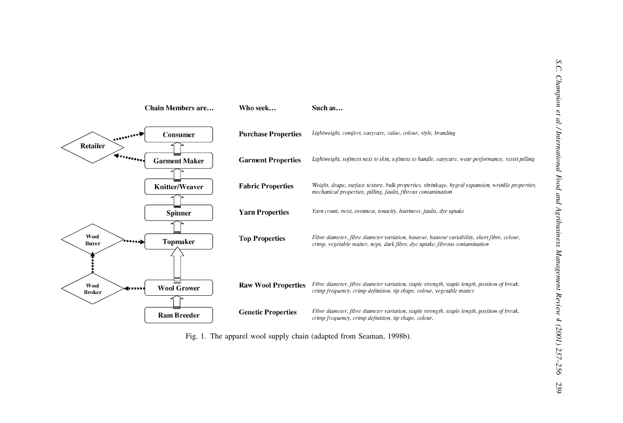

Fig. 1. The apparel wool supply chain (adapted from Seaman, 1998b).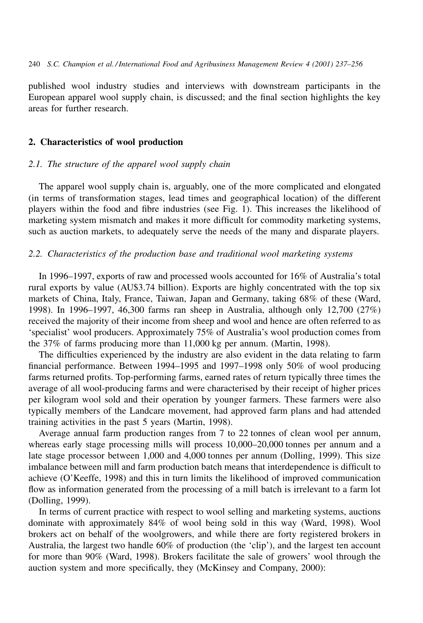published wool industry studies and interviews with downstream participants in the European apparel wool supply chain, is discussed; and the final section highlights the key areas for further research.

## 2. Characteristics of wool production

#### 2.1. The structure of the apparel wool supply chain

The apparel wool supply chain is, arguably, one of the more complicated and elongated (in terms of transformation stages, lead times and geographical location) of the different players within the food and fibre industries (see Fig. 1). This increases the likelihood of marketing system mismatch and makes it more difficult for commodity marketing systems, such as auction markets, to adequately serve the needs of the many and disparate players.

## 2.2. Characteristics of the production base and traditional wool marketing systems

In 1996–1997, exports of raw and processed wools accounted for 16% of Australia's total rural exports by value (AU\$3.74 billion). Exports are highly concentrated with the top six markets of China, Italy, France, Taiwan, Japan and Germany, taking 68% of these (Ward, 1998). In 1996–1997, 46,300 farms ran sheep in Australia, although only 12,700 (27%) received the majority of their income from sheep and wool and hence are often referred to as 'specialist' wool producers. Approximately 75% of Australia's wool production comes from the 37% of farms producing more than 11,000 kg per annum. (Martin, 1998).

The difficulties experienced by the industry are also evident in the data relating to farm financial performance. Between 1994-1995 and 1997-1998 only 50% of wool producing farms returned profits. Top-performing farms, earned rates of return typically three times the average of all wool-producing farms and were characterised by their receipt of higher prices per kilogram wool sold and their operation by younger farmers. These farmers were also typically members of the Landcare movement, had approved farm plans and had attended training activities in the past 5 years (Martin, 1998).

Average annual farm production ranges from 7 to 22 tonnes of clean wool per annum, whereas early stage processing mills will process 10,000-20,000 tonnes per annum and a late stage processor between 1,000 and 4,000 tonnes per annum (Dolling, 1999). This size imbalance between mill and farm production batch means that interdependence is difficult to achieve (O'Keeffe, 1998) and this in turn limits the likelihood of improved communication flow as information generated from the processing of a mill batch is irrelevant to a farm lot (Dolling, 1999).

In terms of current practice with respect to wool selling and marketing systems, auctions dominate with approximately 84% of wool being sold in this way (Ward, 1998). Wool brokers act on behalf of the woolgrowers, and while there are forty registered brokers in Australia, the largest two handle 60% of production (the 'clip'), and the largest ten account for more than 90% (Ward, 1998). Brokers facilitate the sale of growers' wool through the auction system and more specifically, they (McKinsey and Company, 2000):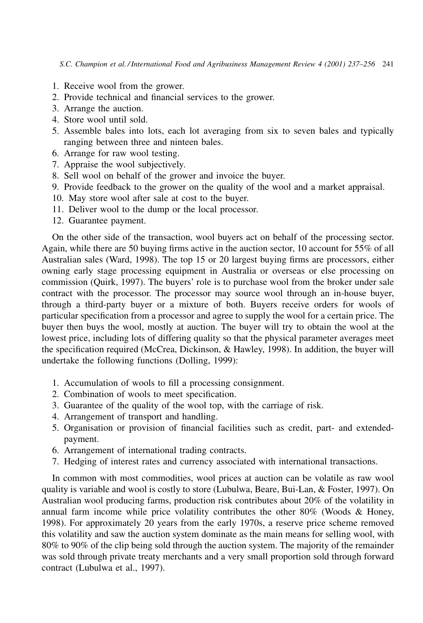- 1. Receive wool from the grower.
- 2. Provide technical and financial services to the grower.
- 3. Arrange the auction.
- 4. Store wool until sold.
- 5. Assemble bales into lots, each lot averaging from six to seven bales and typically ranging between three and ninteen bales.
- 6. Arrange for raw wool testing.
- 7. Appraise the wool subjectively.
- 8. Sell wool on behalf of the grower and invoice the buyer.
- 9. Provide feedback to the grower on the quality of the wool and a market appraisal.
- 10. May store wool after sale at cost to the buyer.
- 11. Deliver wool to the dump or the local processor.
- 12. Guarantee payment.

On the other side of the transaction, wool buyers act on behalf of the processing sector. Again, while there are 50 buying firms active in the auction sector, 10 account for  $55\%$  of all Australian sales (Ward, 1998). The top 15 or 20 largest buying firms are processors, either owning early stage processing equipment in Australia or overseas or else processing on commission (Quirk, 1997). The buyers' role is to purchase wool from the broker under sale contract with the processor. The processor may source wool through an in-house buyer, through a third-party buyer or a mixture of both. Buyers receive orders for wools of particular specification from a processor and agree to supply the wool for a certain price. The buyer then buys the wool, mostly at auction. The buyer will try to obtain the wool at the lowest price, including lots of differing quality so that the physical parameter averages meet the specification required (McCrea, Dickinson, & Hawley, 1998). In addition, the buyer will undertake the following functions (Dolling, 1999):

- 1. Accumulation of wools to fill a processing consignment.
- 2. Combination of wools to meet specification.
- 3. Guarantee of the quality of the wool top, with the carriage of risk.
- 4. Arrangement of transport and handling.
- 5. Organisation or provision of financial facilities such as credit, part- and extendedpayment.
- 6. Arrangement of international trading contracts.
- 7. Hedging of interest rates and currency associated with international transactions.

In common with most commodities, wool prices at auction can be volatile as raw wool quality is variable and wool is costly to store (Lubulwa, Beare, Bui-Lan, & Foster, 1997). On Australian wool producing farms, production risk contributes about 20% of the volatility in annual farm income while price volatility contributes the other  $80\%$  (Woods & Honey, 1998). For approximately 20 years from the early 1970s, a reserve price scheme removed this volatility and saw the auction system dominate as the main means for selling wool, with 80% to 90% of the clip being sold through the auction system. The majority of the remainder was sold through private treaty merchants and a very small proportion sold through forward contract (Lubulwa et al., 1997).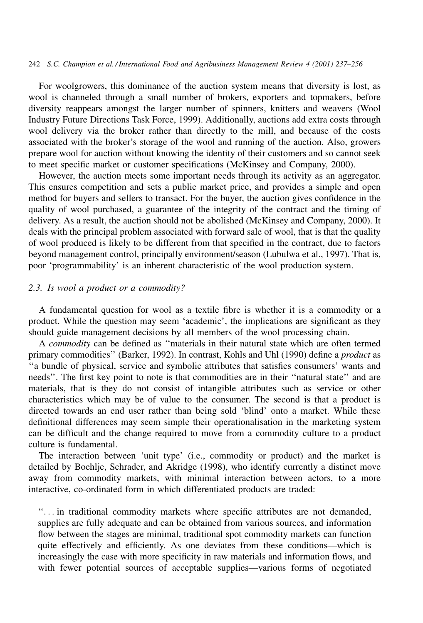For woolgrowers, this dominance of the auction system means that diversity is lost, as wool is channeled through a small number of brokers, exporters and topmakers, before diversity reappears amongst the larger number of spinners, knitters and weavers (Wool Industry Future Directions Task Force, 1999). Additionally, auctions add extra costs through wool delivery via the broker rather than directly to the mill, and because of the costs associated with the broker's storage of the wool and running of the auction. Also, growers prepare wool for auction without knowing the identity of their customers and so cannot seek to meet specific market or customer specifications (McKinsey and Company, 2000).

However, the auction meets some important needs through its activity as an aggregator. This ensures competition and sets a public market price, and provides a simple and open method for buyers and sellers to transact. For the buyer, the auction gives confidence in the quality of wool purchased, a guarantee of the integrity of the contract and the timing of delivery. As a result, the auction should not be abolished (McKinsey and Company, 2000). It deals with the principal problem associated with forward sale of wool, that is that the quality of wool produced is likely to be different from that specified in the contract, due to factors beyond management control, principally environment/season (Lubulwa et al., 1997). That is, poor 'programmability' is an inherent characteristic of the wool production system.

## 2.3. Is wool a product or a commodity?

A fundamental question for wool as a textile fibre is whether it is a commodity or a product. While the question may seem 'academic', the implications are significant as they should guide management decisions by all members of the wool processing chain.

A commodity can be defined as "materials in their natural state which are often termed primary commodities" (Barker, 1992). In contrast, Kohls and Uhl (1990) define a *product* as "a bundle of physical, service and symbolic attributes that satisfies consumers' wants and needs". The first key point to note is that commodities are in their "natural state" and are materials, that is they do not consist of intangible attributes such as service or other characteristics which may be of value to the consumer. The second is that a product is directed towards an end user rather than being sold 'blind' onto a market. While these definitional differences may seem simple their operationalisation in the marketing system can be difficult and the change required to move from a commodity culture to a product culture is fundamental.

The interaction between 'unit type' (i.e., commodity or product) and the market is detailed by Boehlje, Schrader, and Akridge (1998), who identify currently a distinct move away from commodity markets, with minimal interaction between actors, to a more interactive, co-ordinated form in which differentiated products are traded:

"... in traditional commodity markets where specific attributes are not demanded, supplies are fully adequate and can be obtained from various sources, and information flow between the stages are minimal, traditional spot commodity markets can function quite effectively and efficiently. As one deviates from these conditions—which is increasingly the case with more specificity in raw materials and information flows, and with fewer potential sources of acceptable supplies—various forms of negotiated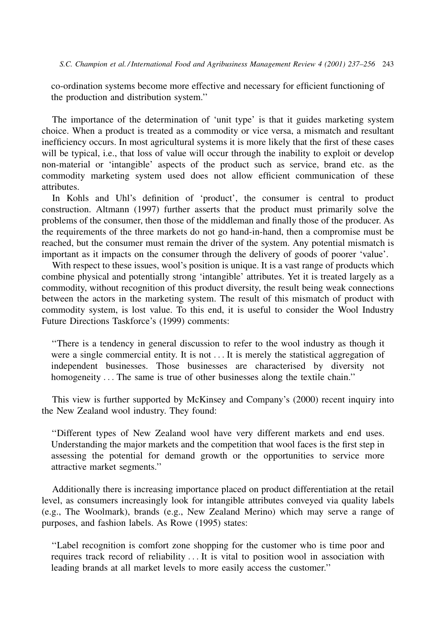co-ordination systems become more effective and necessary for efficient functioning of the production and distribution system."

The importance of the determination of 'unit type' is that it guides marketing system choice. When a product is treated as a commodity or vice versa, a mismatch and resultant inefficiency occurs. In most agricultural systems it is more likely that the first of these cases will be typical, i.e., that loss of value will occur through the inability to exploit or develop non-material or 'intangible' aspects of the product such as service, brand etc. as the commodity marketing system used does not allow efficient communication of these attributes.

In Kohls and Uhl's definition of 'product', the consumer is central to product construction. Altmann (1997) further asserts that the product must primarily solve the problems of the consumer, then those of the middleman and finally those of the producer. As the requirements of the three markets do not go hand-in-hand, then a compromise must be reached, but the consumer must remain the driver of the system. Any potential mismatch is important as it impacts on the consumer through the delivery of goods of poorer 'value'.

With respect to these issues, wool's position is unique. It is a vast range of products which combine physical and potentially strong 'intangible' attributes. Yet it is treated largely as a commodity, without recognition of this product diversity, the result being weak connections between the actors in the marketing system. The result of this mismatch of product with commodity system, is lost value. To this end, it is useful to consider the Wool Industry Future Directions Taskforce's (1999) comments:

"There is a tendency in general discussion to refer to the wool industry as though it were a single commercial entity. It is not ... It is merely the statistical aggregation of independent businesses. Those businesses are characterised by diversity not homogeneity... The same is true of other businesses along the textile chain."

This view is further supported by McKinsey and Company's (2000) recent inquiry into the New Zealand wool industry. They found:

"Different types of New Zealand wool have very different markets and end uses. Understanding the major markets and the competition that wool faces is the first step in assessing the potential for demand growth or the opportunities to service more attractive market segments."

Additionally there is increasing importance placed on product differentiation at the retail level, as consumers increasingly look for intangible attributes conveyed via quality labels (e.g., The Woolmark), brands (e.g., New Zealand Merino) which may serve a range of purposes, and fashion labels. As Rowe (1995) states:

"Label recognition is comfort zone shopping for the customer who is time poor and requires track record of reliability ... It is vital to position wool in association with leading brands at all market levels to more easily access the customer."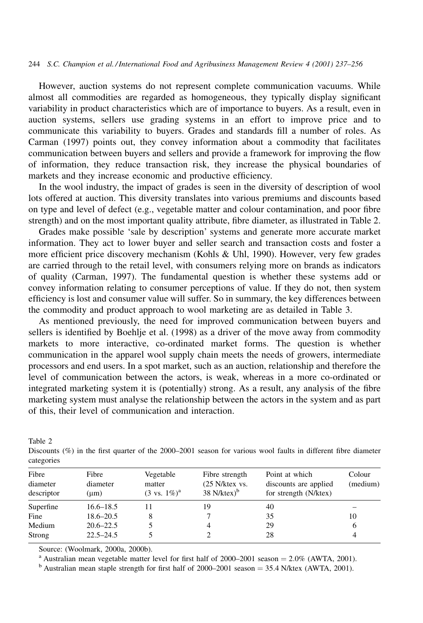However, auction systems do not represent complete communication vacuums. While almost all commodities are regarded as homogeneous, they typically display significant variability in product characteristics which are of importance to buyers. As a result, even in auction systems, sellers use grading systems in an effort to improve price and to communicate this variability to buyers. Grades and standards fill a number of roles. As Carman (1997) points out, they convey information about a commodity that facilitates communication between buyers and sellers and provide a framework for improving the flow of information, they reduce transaction risk, they increase the physical boundaries of markets and they increase economic and productive efficiency.

In the wool industry, the impact of grades is seen in the diversity of description of wool lots offered at auction. This diversity translates into various premiums and discounts based on type and level of defect (e.g., vegetable matter and colour contamination, and poor fibre strength) and on the most important quality attribute, fibre diameter, as illustrated in Table 2.

Grades make possible 'sale by description' systems and generate more accurate market information. They act to lower buyer and seller search and transaction costs and foster a more efficient price discovery mechanism (Kohls & Uhl, 1990). However, very few grades are carried through to the retail level, with consumers relying more on brands as indicators of quality (Carman, 1997). The fundamental question is whether these systems add or convey information relating to consumer perceptions of value. If they do not, then system efficiency is lost and consumer value will suffer. So in summary, the key differences between the commodity and product approach to wool marketing are as detailed in Table 3.

As mentioned previously, the need for improved communication between buyers and sellers is identified by Boehlje et al. (1998) as a driver of the move away from commodity markets to more interactive, co-ordinated market forms. The question is whether communication in the apparel wool supply chain meets the needs of growers, intermediate processors and end users. In a spot market, such as an auction, relationship and therefore the level of communication between the actors, is weak, whereas in a more co-ordinated or integrated marketing system it is (potentially) strong. As a result, any analysis of the fibre marketing system must analyse the relationship between the actors in the system and as part of this, their level of communication and interaction.

| Fibre<br>diameter<br>descriptor | Fibre<br>diameter<br>$(\mu m)$ | Vegetable<br>matter<br>$(3 \text{ vs. } 1\%)^{\text{a}}$ | Fibre strength<br>$(25$ N/ktex vs.<br>38 N/ktex $)^{\rm b}$ | Point at which<br>discounts are applied<br>for strength (N/ktex) | Colour<br>(medium) |
|---------------------------------|--------------------------------|----------------------------------------------------------|-------------------------------------------------------------|------------------------------------------------------------------|--------------------|
| Superfine                       | $16.6 - 18.5$                  | 11                                                       | 19                                                          | 40                                                               |                    |
| Fine                            | $18.6 - 20.5$                  |                                                          |                                                             | 35                                                               | 10                 |
| Medium                          | $20.6 - 22.5$                  |                                                          | 4                                                           | 29                                                               | 6                  |
| Strong                          | $22.5 - 24.5$                  |                                                          |                                                             | 28                                                               |                    |

Table 2

Discounts  $(\%)$  in the first quarter of the 2000–2001 season for various wool faults in different fibre diameter categories

Source: (Woolmark, 2000a, 2000b).

<sup>a</sup> Australian mean vegetable matter level for first half of 2000–2001 season =  $2.0\%$  (AWTA, 2001).

 $<sup>b</sup>$  Australian mean staple strength for first half of 2000–2001 season = 35.4 N/ktex (AWTA, 2001).</sup>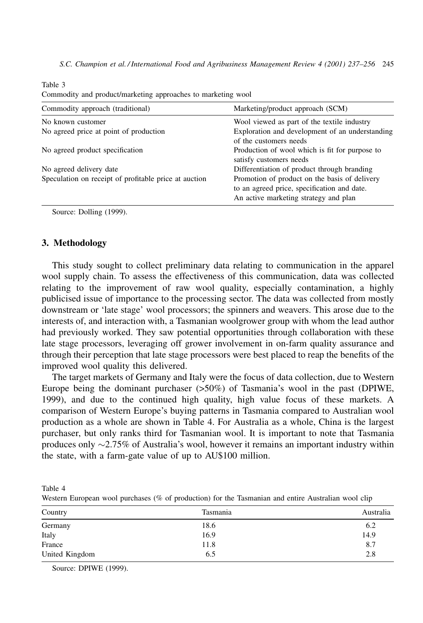Table 3

|  | Commodity and product/marketing approaches to marketing wool |  |
|--|--------------------------------------------------------------|--|
|  |                                                              |  |

| Commodity approach (traditional)                      | Marketing/product approach (SCM)                                                                                                      |
|-------------------------------------------------------|---------------------------------------------------------------------------------------------------------------------------------------|
| No known customer                                     | Wool viewed as part of the textile industry                                                                                           |
| No agreed price at point of production                | Exploration and development of an understanding<br>of the customers needs                                                             |
| No agreed product specification                       | Production of wool which is fit for purpose to<br>satisfy customers needs                                                             |
| No agreed delivery date                               | Differentiation of product through branding                                                                                           |
| Speculation on receipt of profitable price at auction | Promotion of product on the basis of delivery<br>to an agreed price, specification and date.<br>An active marketing strategy and plan |

Source: Dolling (1999).

#### 3. Methodology

This study sought to collect preliminary data relating to communication in the apparel wool supply chain. To assess the effectiveness of this communication, data was collected relating to the improvement of raw wool quality, especially contamination, a highly publicised issue of importance to the processing sector. The data was collected from mostly downstream or 'late stage' wool processors; the spinners and weavers. This arose due to the interests of, and interaction with, a Tasmanian woolgrower group with whom the lead author had previously worked. They saw potential opportunities through collaboration with these late stage processors, leveraging off grower involvement in on-farm quality assurance and through their perception that late stage processors were best placed to reap the benefits of the improved wool quality this delivered.

The target markets of Germany and Italy were the focus of data collection, due to Western Europe being the dominant purchaser  $(50\%)$  of Tasmania's wool in the past (DPIWE, 1999), and due to the continued high quality, high value focus of these markets. A comparison of Western Europe's buying patterns in Tasmania compared to Australian wool production as a whole are shown in Table 4. For Australia as a whole, China is the largest purchaser, but only ranks third for Tasmanian wool. It is important to note that Tasmania produces only  $\sim$ 2.75% of Australia's wool, however it remains an important industry within the state, with a farm-gate value of up to AU\$100 million.

Table 4

Western European wool purchases (% of production) for the Tasmanian and entire Australian wool clip

| Country        | Tasmania | Australia |
|----------------|----------|-----------|
| Germany        | 18.6     | 6.2       |
| Italy          | 16.9     | 14.9      |
| France         | 11.8     | 8.7       |
| United Kingdom | 6.5      | 2.8       |

Source: DPIWE (1999).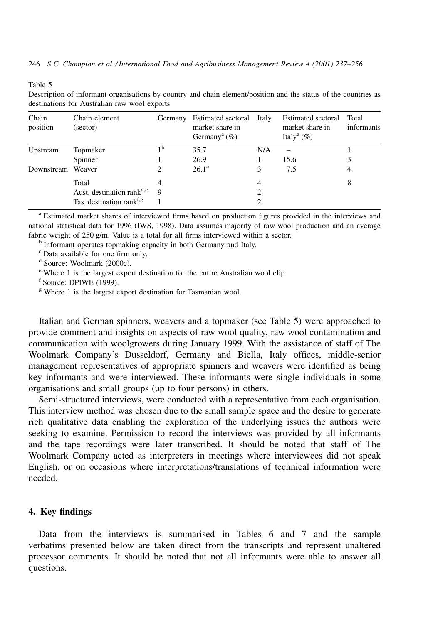| , |  |
|---|--|
|   |  |

|  |                                              |  | Description of informant organisations by country and chain element/position and the status of the countries as |  |  |  |
|--|----------------------------------------------|--|-----------------------------------------------------------------------------------------------------------------|--|--|--|
|  | destinations for Australian raw wool exports |  |                                                                                                                 |  |  |  |

| Chain<br>position | Chain element<br>(sector)             | Germany        | Estimated sectoral<br>market share in<br>Germany <sup>a</sup> $(\%)$ | Italy          | Estimated sectoral<br>market share in<br>Italy <sup>a</sup> $(\%)$ | Total<br>informants |
|-------------------|---------------------------------------|----------------|----------------------------------------------------------------------|----------------|--------------------------------------------------------------------|---------------------|
| Upstream          | Topmaker                              | 1 <sup>b</sup> | 35.7                                                                 | N/A            |                                                                    |                     |
|                   | Spinner                               |                | 26.9                                                                 |                | 15.6                                                               | 3                   |
| Downstream        | Weaver                                |                | $26.1^{\circ}$                                                       | 3              | 7.5                                                                | 4                   |
|                   | Total                                 |                |                                                                      | $\overline{4}$ |                                                                    | 8                   |
|                   | Aust. destination rank <sup>d,e</sup> | -9             |                                                                      |                |                                                                    |                     |
|                   | Tas. destination rank <sup>f,g</sup>  |                |                                                                      |                |                                                                    |                     |

<sup>a</sup> Estimated market shares of interviewed firms based on production figures provided in the interviews and national statistical data for 1996 (IWS, 1998). Data assumes majority of raw wool production and an average fabric weight of 250 g/m. Value is a total for all firms interviewed within a sector.

<sup>b</sup> Informant operates topmaking capacity in both Germany and Italy.

<sup>c</sup> Data available for one firm only.

<sup>d</sup> Source: Woolmark (2000c).

<sup>e</sup> Where 1 is the largest export destination for the entire Australian wool clip.

 $f$  Source: DPIWE (1999).

<sup>g</sup> Where 1 is the largest export destination for Tasmanian wool.

Italian and German spinners, weavers and a topmaker (see Table 5) were approached to provide comment and insights on aspects of raw wool quality, raw wool contamination and communication with woolgrowers during January 1999. With the assistance of staff of The Woolmark Company's Dusseldorf, Germany and Biella, Italy offices, middle-senior management representatives of appropriate spinners and weavers were identified as being key informants and were interviewed. These informants were single individuals in some organisations and small groups (up to four persons) in others.

Semi-structured interviews, were conducted with a representative from each organisation. This interview method was chosen due to the small sample space and the desire to generate rich qualitative data enabling the exploration of the underlying issues the authors were seeking to examine. Permission to record the interviews was provided by all informants and the tape recordings were later transcribed. It should be noted that staff of The Woolmark Company acted as interpreters in meetings where interviewees did not speak English, or on occasions where interpretations/translations of technical information were needed

## 4. Key findings

Data from the interviews is summarised in Tables 6 and 7 and the sample verbatims presented below are taken direct from the transcripts and represent unaltered processor comments. It should be noted that not all informants were able to answer all questions.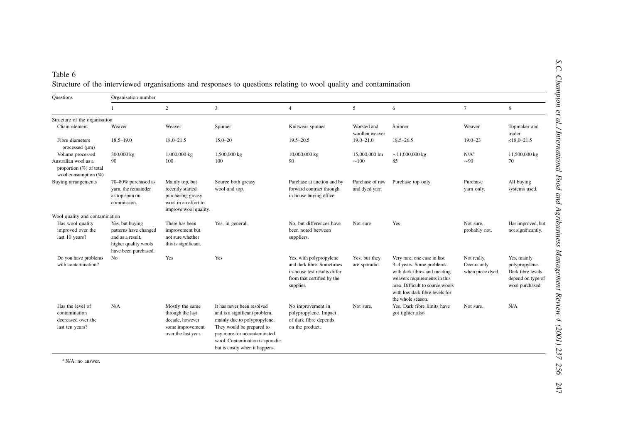| <b>Questions</b>                                                              | Organisation number                                                                                          |                                                                                                           |                                                                                                                                                                                                                              |                                                                                                                                 |                                  |                                                                                                                                                                                                                   |                                                |                                                                                           |
|-------------------------------------------------------------------------------|--------------------------------------------------------------------------------------------------------------|-----------------------------------------------------------------------------------------------------------|------------------------------------------------------------------------------------------------------------------------------------------------------------------------------------------------------------------------------|---------------------------------------------------------------------------------------------------------------------------------|----------------------------------|-------------------------------------------------------------------------------------------------------------------------------------------------------------------------------------------------------------------|------------------------------------------------|-------------------------------------------------------------------------------------------|
|                                                                               | $\mathbf{1}$                                                                                                 | $\overline{c}$                                                                                            | $\overline{3}$                                                                                                                                                                                                               | $\overline{4}$                                                                                                                  | 5                                | 6                                                                                                                                                                                                                 | $\tau$                                         | 8                                                                                         |
| Structure of the organisation                                                 |                                                                                                              |                                                                                                           |                                                                                                                                                                                                                              |                                                                                                                                 |                                  |                                                                                                                                                                                                                   |                                                |                                                                                           |
| Chain element                                                                 | Weaver                                                                                                       | Weaver                                                                                                    | Spinner                                                                                                                                                                                                                      | Knitwear spinner                                                                                                                | Worsted and<br>woollen weaver    | Spinner                                                                                                                                                                                                           | Weaver                                         | Topmaker and<br>trader                                                                    |
| Fibre diameters<br>processed (µm)                                             | $18.5 - 19.0$                                                                                                | $18.0 - 21.5$                                                                                             | $15.0 - 20$                                                                                                                                                                                                                  | $19.5 - 20.5$                                                                                                                   | $19.0 - 21.0$                    | $18.5 - 26.5$                                                                                                                                                                                                     | $19.0 - 23$                                    | $<18.0 - 21.5$                                                                            |
| Volume processed                                                              | 300,000 kg                                                                                                   | 1,000,000 kg                                                                                              | 1,500,000 kg                                                                                                                                                                                                                 | 10,000,000 kg                                                                                                                   | 15,000,000 lm                    | $\sim$ 11,000,000 kg                                                                                                                                                                                              | N/A <sup>a</sup>                               | 11,500,000 kg                                                                             |
| Australian wool as a<br>proportion $(\%)$ of total<br>wool consumption $(\%)$ | 90                                                                                                           | 100                                                                                                       | 100                                                                                                                                                                                                                          | 90                                                                                                                              | $\sim$ 100                       | 85                                                                                                                                                                                                                | $\sim 90$                                      | 70                                                                                        |
| Buying arrangements                                                           | 70-80% purchased as<br>yarn, the remainder<br>as top spun on<br>commission.                                  | Mainly top, but<br>recently started<br>purchasing greasy<br>wool in an effort to<br>improve wool quality. | Source both greasy<br>wool and top.                                                                                                                                                                                          | Purchase at auction and by<br>forward contract through<br>in-house buying office.                                               | Purchase of raw<br>and dyed yarn | Purchase top only                                                                                                                                                                                                 | Purchase<br>yarn only.                         | All buying<br>systems used.                                                               |
| Wool quality and contamination                                                |                                                                                                              |                                                                                                           |                                                                                                                                                                                                                              |                                                                                                                                 |                                  |                                                                                                                                                                                                                   |                                                |                                                                                           |
| Has wool quality<br>improved over the<br>last 10 years?                       | Yes, but buying<br>patterns have changed<br>and as a result,<br>higher quality wools<br>have been purchased. | There has been<br>improvement but<br>not sure whether<br>this is significant.                             | Yes, in general.                                                                                                                                                                                                             | No. but differences have<br>been noted between<br>suppliers.                                                                    | Not sure                         | Yes                                                                                                                                                                                                               | Not sure,<br>probably not.                     | Has improved, but<br>not significantly.                                                   |
| Do you have problems<br>with contamination?                                   | No                                                                                                           | Yes                                                                                                       | Yes                                                                                                                                                                                                                          | Yes, with polypropylene<br>and dark fibre. Sometimes<br>in-house test results differ<br>from that certified by the<br>supplier. | Yes, but they<br>are sporadic.   | Very rare, one case in last<br>3-4 years. Some problems<br>with dark fibres and meeting<br>weavers requirements in this<br>area. Difficult to source wools<br>with low dark fibre levels for<br>the whole season. | Not really.<br>Occurs only<br>when piece dyed. | Yes, mainly<br>polypropylene.<br>Dark fibre levels<br>depend on type of<br>wool purchased |
| Has the level of<br>contamination<br>decreased over the<br>last ten years?    | N/A                                                                                                          | Mostly the same<br>through the last<br>decade, however<br>some improvement<br>over the last year.         | It has never been resolved<br>and is a significant problem,<br>mainly due to polypropylene.<br>They would be prepared to<br>pay more for uncontaminated<br>wool. Contamination is sporadic<br>but is costly when it happens. | No improvement in<br>polypropylene. Impact<br>of dark fibre depends<br>on the product.                                          | Not sure.                        | Yes. Dark fibre limits have<br>got tighter also.                                                                                                                                                                  | Not sure.                                      | N/A                                                                                       |

<sup>a</sup> N/A: no answer.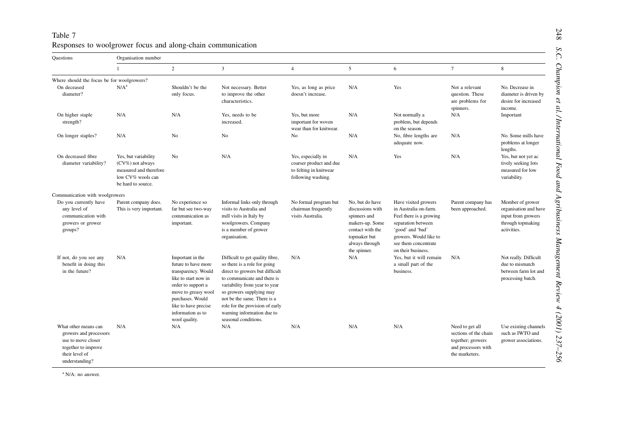# Table 7 Responses to woolgrower focus and along-chain communication

| Questions                                                                                                                       | Organisation number                                                                                              |                                                                                                                                                                                                                       |                                                                                                                                                                                                                                                                                                                        |                                                                                               |                                                                                                                                              |                                                                                                                                                                                            |                                                                                                        |                                                                                                     |
|---------------------------------------------------------------------------------------------------------------------------------|------------------------------------------------------------------------------------------------------------------|-----------------------------------------------------------------------------------------------------------------------------------------------------------------------------------------------------------------------|------------------------------------------------------------------------------------------------------------------------------------------------------------------------------------------------------------------------------------------------------------------------------------------------------------------------|-----------------------------------------------------------------------------------------------|----------------------------------------------------------------------------------------------------------------------------------------------|--------------------------------------------------------------------------------------------------------------------------------------------------------------------------------------------|--------------------------------------------------------------------------------------------------------|-----------------------------------------------------------------------------------------------------|
|                                                                                                                                 | $\mathbf{1}$                                                                                                     | $\overline{c}$                                                                                                                                                                                                        | 3                                                                                                                                                                                                                                                                                                                      | $\overline{4}$                                                                                | 5                                                                                                                                            | 6                                                                                                                                                                                          | $\tau$                                                                                                 | $8\,$                                                                                               |
| Where should the focus be for woolgrowers?<br>On deceased<br>diameter?                                                          | $N/A^a$                                                                                                          | Shouldn't be the<br>only focus.                                                                                                                                                                                       | Not necessary. Better<br>to improve the other<br>characteristics.                                                                                                                                                                                                                                                      | Yes, as long as price<br>doesn't increase.                                                    | N/A                                                                                                                                          | Yes                                                                                                                                                                                        | Not a relevant<br>question. These<br>are problems for                                                  | No. Decrease in<br>diameter is driven by<br>desire for increased<br>income.                         |
| On higher staple<br>strength?                                                                                                   | N/A                                                                                                              | N/A                                                                                                                                                                                                                   | Yes, needs to be<br>increased.                                                                                                                                                                                                                                                                                         | Yes, but more<br>important for woven<br>wear than for knitwear.                               | N/A                                                                                                                                          | Not normally a<br>problem, but depends<br>on the season.                                                                                                                                   | spinners.<br>N/A                                                                                       | Important                                                                                           |
| On longer staples?                                                                                                              | N/A                                                                                                              | No                                                                                                                                                                                                                    | No                                                                                                                                                                                                                                                                                                                     | No                                                                                            | N/A                                                                                                                                          | No, fibre lengths are<br>adequate now.                                                                                                                                                     | N/A                                                                                                    | No. Some mills have<br>problems at longer<br>lengths.                                               |
| On decreased fibre<br>diameter variability?                                                                                     | Yes, but variability<br>$(CV\%)$ not always<br>measured and therefore<br>low CV% wools can<br>be hard to source. | N <sub>0</sub>                                                                                                                                                                                                        | N/A                                                                                                                                                                                                                                                                                                                    | Yes, especially in<br>coarser product and due<br>to felting in knitwear<br>following washing. | N/A                                                                                                                                          | Yes                                                                                                                                                                                        | N/A                                                                                                    | Yes, but not yet ac<br>tively seeking lots<br>measured for low<br>variability.                      |
| Communication with woolgrowers                                                                                                  |                                                                                                                  |                                                                                                                                                                                                                       |                                                                                                                                                                                                                                                                                                                        |                                                                                               |                                                                                                                                              |                                                                                                                                                                                            |                                                                                                        |                                                                                                     |
| Do you currently have<br>any level of<br>communication with<br>growers or grower<br>groups?                                     | Parent company does.<br>This is very important.                                                                  | No experience so<br>far but see two-way<br>communication as<br>important.                                                                                                                                             | Informal links only through<br>visits to Australia and<br>mill visits in Italy by<br>woolgrowers. Company<br>is a member of grower<br>organisation.                                                                                                                                                                    | No formal program but<br>chairman frequently<br>visits Australia.                             | No, but do have<br>discussions with<br>spinners and<br>makers-up. Some<br>contact with the<br>topmaker but<br>always through<br>the spinner. | Have visited growers<br>in Australia on-farm.<br>Feel there is a growing<br>separation between<br>'good' and 'bad'<br>growers. Would like to<br>see them concentrate<br>on their business. | Parent company has<br>been approached.                                                                 | Member of grower<br>organisation and have<br>input from growers<br>through topmaking<br>activities. |
| If not, do you see any<br>benefit in doing this<br>in the future?                                                               | N/A                                                                                                              | Important in the<br>future to have more<br>transparency. Would<br>like to start now in<br>order to support a<br>move to greasy wool<br>purchases. Would<br>like to have precise<br>information as to<br>wool quality. | Difficult to get quality fibre,<br>so there is a role for going<br>direct to growers but difficult<br>to communicate and there is<br>variability from year to year<br>so growers supplying may<br>not be the same. There is a<br>role for the provision of early<br>warning information due to<br>seasonal conditions. | N/A                                                                                           | N/A                                                                                                                                          | Yes, but it will remain<br>a small part of the<br>business.                                                                                                                                | N/A                                                                                                    | Not really. Difficult<br>due to mismatch<br>between farm lot and<br>processing batch.               |
| What other means can<br>growers and processors<br>use to move closer<br>together to improve<br>their level of<br>understanding? | N/A                                                                                                              | N/A                                                                                                                                                                                                                   | N/A                                                                                                                                                                                                                                                                                                                    | N/A                                                                                           | N/A                                                                                                                                          | N/A                                                                                                                                                                                        | Need to get all<br>sections of the chain<br>together; growers<br>and processors with<br>the marketers. | Use existing channels<br>such as IWTO and<br>grower associations.                                   |

<sup>a</sup> N/A: no answer.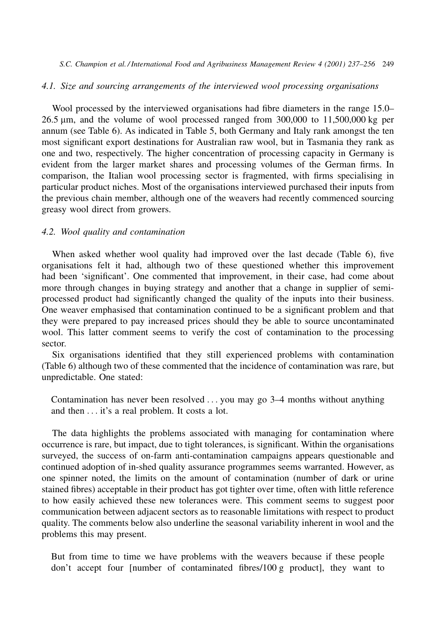#### 4.1. Size and sourcing arrangements of the interviewed wool processing organisations

Wool processed by the interviewed organisations had fibre diameters in the range 15.0–  $26.5 \mu m$ , and the volume of wool processed ranged from 300,000 to 11,500,000 kg per annum (see Table 6). As indicated in Table 5, both Germany and Italy rank amongst the ten most significant export destinations for Australian raw wool, but in Tasmania they rank as one and two, respectively. The higher concentration of processing capacity in Germany is evident from the larger market shares and processing volumes of the German firms. In comparison, the Italian wool processing sector is fragmented, with firms specialising in particular product niches. Most of the organisations interviewed purchased their inputs from the previous chain member, although one of the weavers had recently commenced sourcing greasy wool direct from growers.

#### 4.2. Wool quality and contamination

When asked whether wool quality had improved over the last decade (Table 6), five organisations felt it had, although two of these questioned whether this improvement had been 'significant'. One commented that improvement, in their case, had come about more through changes in buying strategy and another that a change in supplier of semiprocessed product had significantly changed the quality of the inputs into their business. One weaver emphasised that contamination continued to be a significant problem and that they were prepared to pay increased prices should they be able to source uncontaminated wool. This latter comment seems to verify the cost of contamination to the processing sector.

Six organisations identified that they still experienced problems with contamination (Table 6) although two of these commented that the incidence of contamination was rare, but unpredictable. One stated:

Contamination has never been resolved ... you may go 3–4 months without anything and then . . . it's a real problem. It costs a lot.

The data highlights the problems associated with managing for contamination where occurrence is rare, but impact, due to tight tolerances, is significant. Within the organisations surveyed, the success of on-farm anti-contamination campaigns appears questionable and continued adoption of in-shed quality assurance programmes seems warranted. However, as one spinner noted, the limits on the amount of contamination (number of dark or urine stained fibres) acceptable in their product has got tighter over time, often with little reference to how easily achieved these new tolerances were. This comment seems to suggest poor communication between adjacent sectors as to reasonable limitations with respect to product quality. The comments below also underline the seasonal variability inherent in wool and the problems this may present.

But from time to time we have problems with the weavers because if these people don't accept four [number of contaminated fibres/100 g product], they want to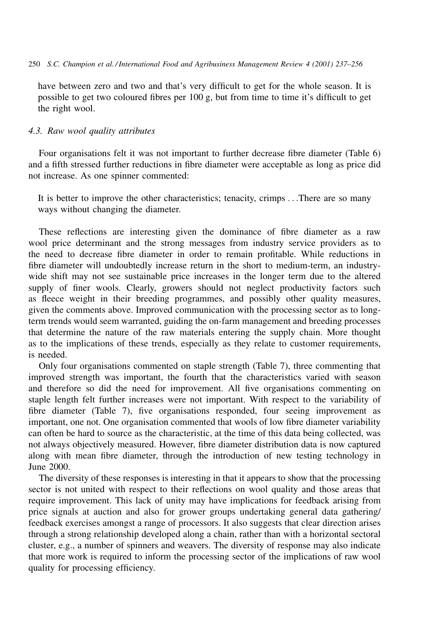have between zero and two and that's very difficult to get for the whole season. It is possible to get two coloured fibres per 100 g, but from time to time it's difficult to get the right wool.

## 4.3. Raw wool quality attributes

Four organisations felt it was not important to further decrease fibre diameter (Table 6) and a fifth stressed further reductions in fibre diameter were acceptable as long as price did not increase. As one spinner commented:

It is better to improve the other characteristics; tenacity, crimps ... There are so many ways without changing the diameter.

These reflections are interesting given the dominance of fibre diameter as a raw wool price determinant and the strong messages from industry service providers as to the need to decrease fibre diameter in order to remain profitable. While reductions in fibre diameter will undoubtedly increase return in the short to medium-term, an industrywide shift may not see sustainable price increases in the longer term due to the altered supply of finer wools. Clearly, growers should not neglect productivity factors such as fleece weight in their breeding programmes, and possibly other quality measures, given the comments above. Improved communication with the processing sector as to longterm trends would seem warranted, guiding the on-farm management and breeding processes that determine the nature of the raw materials entering the supply chain. More thought as to the implications of these trends, especially as they relate to customer requirements, is needed.

Only four organisations commented on staple strength (Table 7), three commenting that improved strength was important, the fourth that the characteristics varied with season and therefore so did the need for improvement. All five organisations commenting on staple length felt further increases were not important. With respect to the variability of fibre diameter (Table 7), five organisations responded, four seeing improvement as important, one not. One organisation commented that wools of low fibre diameter variability can often be hard to source as the characteristic, at the time of this data being collected, was not always objectively measured. However, fibre diameter distribution data is now captured along with mean fibre diameter, through the introduction of new testing technology in June 2000.

The diversity of these responses is interesting in that it appears to show that the processing sector is not united with respect to their reflections on wool quality and those areas that require improvement. This lack of unity may have implications for feedback arising from price signals at auction and also for grower groups undertaking general data gathering/ feedback exercises amongst a range of processors. It also suggests that clear direction arises through a strong relationship developed along a chain, rather than with a horizontal sectoral cluster, e.g., a number of spinners and weavers. The diversity of response may also indicate that more work is required to inform the processing sector of the implications of raw wool quality for processing efficiency.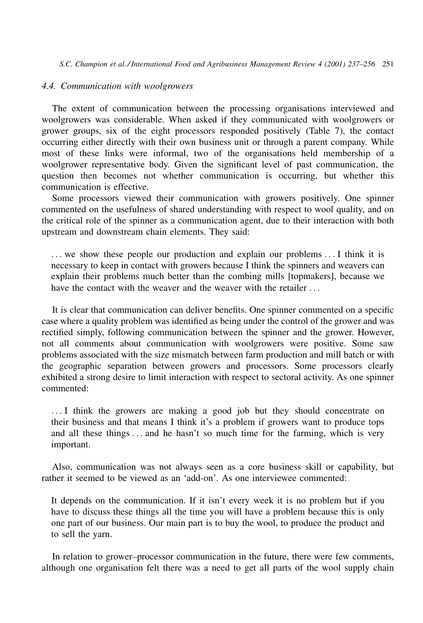#### 4.4. Communication with woolgrowers

The extent of communication between the processing organisations interviewed and woolgrowers was considerable. When asked if they communicated with woolgrowers or grower groups, six of the eight processors responded positively (Table 7), the contact occurring either directly with their own business unit or through a parent company. While most of these links were informal, two of the organisations held membership of a woolgrower representative body. Given the significant level of past communication, the question then becomes not whether communication is occurring, but whether this communication is effective.

Some processors viewed their communication with growers positively. One spinner commented on the usefulness of shared understanding with respect to wool quality, and on the critical role of the spinner as a communication agent, due to their interaction with both upstream and downstream chain elements. They said:

... we show these people our production and explain our problems ... I think it is necessary to keep in contact with growers because I think the spinners and weavers can explain their problems much better than the combing mills [topmakers], because we have the contact with the weaver and the weaver with the retailer ...

It is clear that communication can deliver benefits. One spinner commented on a specific case where a quality problem was identified as being under the control of the grower and was rectified simply, following communication between the spinner and the grower. However, not all comments about communication with woolgrowers were positive. Some saw problems associated with the size mismatch between farm production and mill batch or with the geographic separation between growers and processors. Some processors clearly exhibited a strong desire to limit interaction with respect to sectoral activity. As one spinner commented<sup>.</sup>

... I think the growers are making a good job but they should concentrate on their business and that means I think it's a problem if growers want to produce tops and all these things ... and he hasn't so much time for the farming, which is very important.

Also, communication was not always seen as a core business skill or capability, but rather it seemed to be viewed as an 'add-on'. As one interviewee commented:

It depends on the communication. If it isn't every week it is no problem but if you have to discuss these things all the time you will have a problem because this is only one part of our business. Our main part is to buy the wool, to produce the product and to sell the yarn.

In relation to grower–processor communication in the future, there were few comments, although one organisation felt there was a need to get all parts of the wool supply chain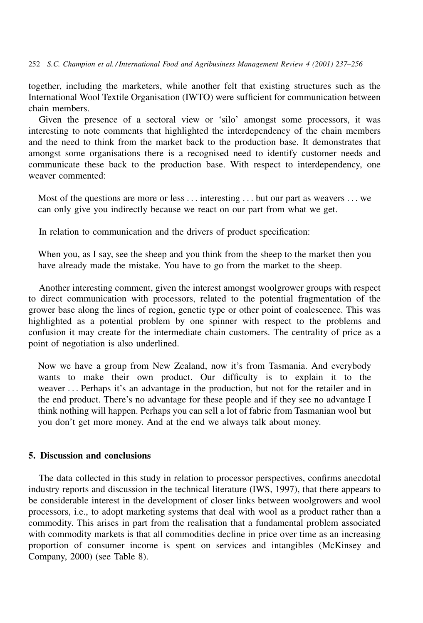together, including the marketers, while another felt that existing structures such as the International Wool Textile Organisation (IWTO) were sufficient for communication between chain members.

Given the presence of a sectoral view or 'silo' amongst some processors, it was interesting to note comments that highlighted the interdependency of the chain members and the need to think from the market back to the production base. It demonstrates that amongst some organisations there is a recognised need to identify customer needs and communicate these back to the production base. With respect to interdependency, one weaver commented.

Most of the questions are more or less . . . interesting . . . but our part as weavers . . . we can only give you indirectly because we react on our part from what we get.

In relation to communication and the drivers of product specification:

When you, as I say, see the sheep and you think from the sheep to the market then you have already made the mistake. You have to go from the market to the sheep.

Another interesting comment, given the interest amongst woolgrower groups with respect to direct communication with processors, related to the potential fragmentation of the grower base along the lines of region, genetic type or other point of coalescence. This was highlighted as a potential problem by one spinner with respect to the problems and confusion it may create for the intermediate chain customers. The centrality of price as a point of negotiation is also underlined.

Now we have a group from New Zealand, now it's from Tasmania. And everybody wants to make their own product. Our difficulty is to explain it to the weaver ... Perhaps it's an advantage in the production, but not for the retailer and in the end product. There's no advantage for these people and if they see no advantage I think nothing will happen. Perhaps you can sell a lot of fabric from Tasmanian wool but you don't get more money. And at the end we always talk about money.

## 5. Discussion and conclusions

The data collected in this study in relation to processor perspectives, confirms anecdotal industry reports and discussion in the technical literature (IWS, 1997), that there appears to be considerable interest in the development of closer links between woolgrowers and wool processors, i.e., to adopt marketing systems that deal with wool as a product rather than a commodity. This arises in part from the realisation that a fundamental problem associated with commodity markets is that all commodities decline in price over time as an increasing proportion of consumer income is spent on services and intangibles (McKinsey and Company, 2000) (see Table 8).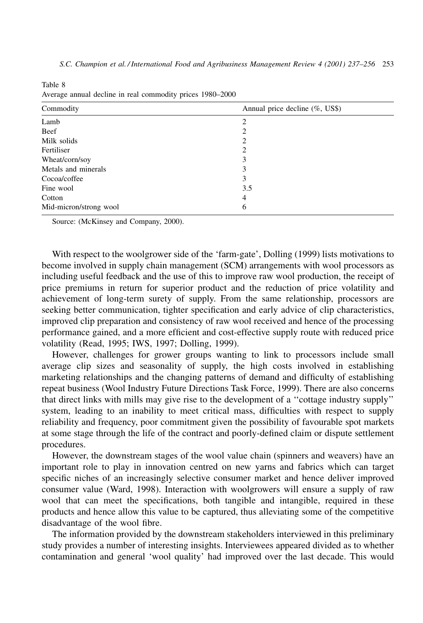| Annual price decline (%, US\$) |
|--------------------------------|
|                                |
|                                |
|                                |
|                                |
|                                |
|                                |
|                                |
|                                |
| 3.5                            |
|                                |
|                                |
|                                |

Table 8 Average annual decline in real commodity prices 1980–2000

Source: (McKinsey and Company, 2000).

With respect to the woolgrower side of the 'farm-gate', Dolling (1999) lists motivations to become involved in supply chain management (SCM) arrangements with wool processors as including useful feedback and the use of this to improve raw wool production, the receipt of price premiums in return for superior product and the reduction of price volatility and achievement of long-term surety of supply. From the same relationship, processors are seeking better communication, tighter specification and early advice of clip characteristics, improved clip preparation and consistency of raw wool received and hence of the processing performance gained, and a more efficient and cost-effective supply route with reduced price volatility (Read, 1995; IWS, 1997; Dolling, 1999).

However, challenges for grower groups wanting to link to processors include small average clip sizes and seasonality of supply, the high costs involved in establishing marketing relationships and the changing patterns of demand and difficulty of establishing repeat business (Wool Industry Future Directions Task Force, 1999). There are also concerns that direct links with mills may give rise to the development of a "cottage industry supply" system, leading to an inability to meet critical mass, difficulties with respect to supply reliability and frequency, poor commitment given the possibility of favourable spot markets at some stage through the life of the contract and poorly-defined claim or dispute settlement procedures.

However, the downstream stages of the wool value chain (spinners and weavers) have an important role to play in innovation centred on new yarns and fabrics which can target specific niches of an increasingly selective consumer market and hence deliver improved consumer value (Ward, 1998). Interaction with woolgrowers will ensure a supply of raw wool that can meet the specifications, both tangible and intangible, required in these products and hence allow this value to be captured, thus alleviating some of the competitive disadvantage of the wool fibre.

The information provided by the downstream stakeholders interviewed in this preliminary study provides a number of interesting insights. Interviewees appeared divided as to whether contamination and general 'wool quality' had improved over the last decade. This would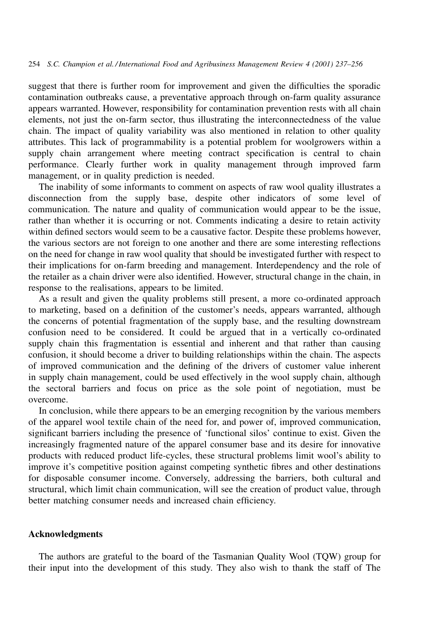suggest that there is further room for improvement and given the difficulties the sporadic contamination outbreaks cause, a preventative approach through on-farm quality assurance appears warranted. However, responsibility for contamination prevention rests with all chain elements, not just the on-farm sector, thus illustrating the interconnectedness of the value chain. The impact of quality variability was also mentioned in relation to other quality attributes. This lack of programmability is a potential problem for woolgrowers within a supply chain arrangement where meeting contract specification is central to chain performance. Clearly further work in quality management through improved farm management, or in quality prediction is needed.

The inability of some informants to comment on aspects of raw wool quality illustrates a disconnection from the supply base, despite other indicators of some level of communication. The nature and quality of communication would appear to be the issue, rather than whether it is occurring or not. Comments indicating a desire to retain activity within defined sectors would seem to be a causative factor. Despite these problems however, the various sectors are not foreign to one another and there are some interesting reflections on the need for change in raw wool quality that should be investigated further with respect to their implications for on-farm breeding and management. Interdependency and the role of the retailer as a chain driver were also identified. However, structural change in the chain, in response to the realisations, appears to be limited.

As a result and given the quality problems still present, a more co-ordinated approach to marketing, based on a definition of the customer's needs, appears warranted, although the concerns of potential fragmentation of the supply base, and the resulting downstream confusion need to be considered. It could be argued that in a vertically co-ordinated supply chain this fragmentation is essential and inherent and that rather than causing confusion, it should become a driver to building relationships within the chain. The aspects of improved communication and the defining of the drivers of customer value inherent in supply chain management, could be used effectively in the wool supply chain, although the sectoral barriers and focus on price as the sole point of negotiation, must be overcome.

In conclusion, while there appears to be an emerging recognition by the various members of the apparel wool textile chain of the need for, and power of, improved communication, significant barriers including the presence of 'functional silos' continue to exist. Given the increasingly fragmented nature of the apparel consumer base and its desire for innovative products with reduced product life-cycles, these structural problems limit wool's ability to improve it's competitive position against competing synthetic fibres and other destinations for disposable consumer income. Conversely, addressing the barriers, both cultural and structural, which limit chain communication, will see the creation of product value, through better matching consumer needs and increased chain efficiency.

### **Acknowledgments**

The authors are grateful to the board of the Tasmanian Quality Wool (TQW) group for their input into the development of this study. They also wish to thank the staff of The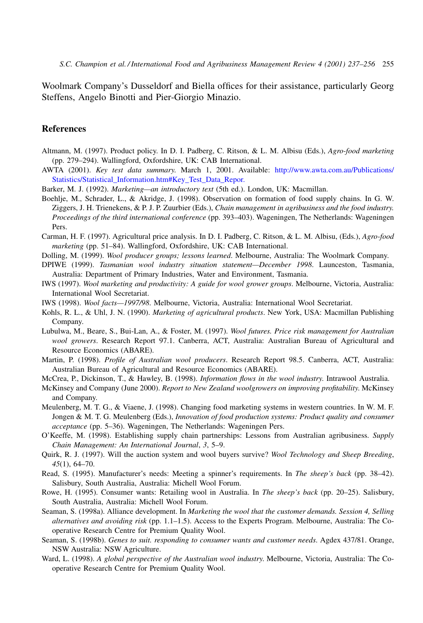<span id="page-18-0"></span>Woolmark Company's Dusseldorf and Biella offices for their assistance, particularly Georg Steffens, Angelo Binotti and Pier-Giorgio Minazio.

## **References**

- Altmann, M. (1997). Product policy. In D. I. Padberg, C. Ritson, & L. M. Albisu (Eds.), Agro-food marketing (pp. 279-294). Wallingford, Oxfordshire, UK: CAB International.
- AWTA (2001). Key test data summary. March 1, 2001. Available: http://www.awta.com.au/Publications/ Statistics/Statistical\_Information.htm#Key\_Test\_Data\_Repor.
- Barker, M. J. (1992). Marketing—an introductory text (5th ed.). London, UK: Macmillan.
- Boehlje, M., Schrader, L., & Akridge, J. (1998). Observation on formation of food supply chains. In G. W. Ziggers, J. H. Trienekens, & P. J. P. Zuurbier (Eds.), Chain management in agribusiness and the food industry. Proceedings of the third international conference (pp. 393–403). Wageningen, The Netherlands: Wageningen Pers.
- Carman, H. F. (1997). Agricultural price analysis. In D. I. Padberg, C. Ritson, & L. M. Albisu, (Eds.), Agro-food marketing (pp. 51–84). Wallingford, Oxfordshire, UK: CAB International.
- Dolling, M. (1999). Wool producer groups; lessons learned. Melbourne, Australia: The Woolmark Company.
- DPIWE (1999). Tasmanian wool industry situation statement-December 1998. Launceston, Tasmania, Australia: Department of Primary Industries, Water and Environment, Tasmania.
- IWS (1997). Wool marketing and productivity: A guide for wool grower groups. Melbourne, Victoria, Australia: International Wool Secretariat.
- IWS (1998). Wool facts—1997/98. Melbourne, Victoria, Australia: International Wool Secretariat.
- Kohls, R. L., & Uhl, J. N. (1990). Marketing of agricultural products. New York, USA: Macmillan Publishing Company.
- Lubulwa, M., Beare, S., Bui-Lan, A., & Foster, M. (1997). Wool futures. Price risk management for Australian wool growers. Research Report 97.1. Canberra, ACT, Australia: Australian Bureau of Agricultural and Resource Economics (ABARE).
- Martin, P. (1998). Profile of Australian wool producers. Research Report 98.5. Canberra, ACT, Australia: Australian Bureau of Agricultural and Resource Economics (ABARE).
- McCrea, P., Dickinson, T., & Hawley, B. (1998). Information flows in the wool industry. Intrawool Australia.
- McKinsey and Company (June 2000). Report to New Zealand woolgrowers on improving profitability. McKinsey and Company.
- Meulenberg, M. T. G., & Viaene, J. (1998). Changing food marketing systems in western countries. In W. M. F. Jongen & M. T. G. Meulenberg (Eds.), Innovation of food production systems: Product quality and consumer acceptance (pp. 5-36). Wageningen, The Netherlands: Wageningen Pers.
- O'Keeffe, M. (1998). Establishing supply chain partnerships: Lessons from Australian agribusiness. Supply Chain Management: An International Journal, 3, 5-9.
- Quirk, R. J. (1997). Will the auction system and wool buyers survive? Wool Technology and Sheep Breeding,  $45(1), 64-70.$
- Read, S. (1995). Manufacturer's needs: Meeting a spinner's requirements. In The sheep's back (pp. 38-42). Salisbury, South Australia, Australia: Michell Wool Forum.
- Rowe, H. (1995). Consumer wants: Retailing wool in Australia. In The sheep's back (pp. 20–25). Salisbury, South Australia, Australia: Michell Wool Forum.
- Seaman, S. (1998a). Alliance development. In Marketing the wool that the customer demands. Session 4, Selling *alternatives and avoiding risk* (pp.  $1.1-1.5$ ). Access to the Experts Program. Melbourne, Australia: The Cooperative Research Centre for Premium Quality Wool.
- Seaman, S. (1998b). Genes to suit. responding to consumer wants and customer needs. Agdex 437/81. Orange, NSW Australia: NSW Agriculture.
- Ward, L. (1998). A global perspective of the Australian wool industry. Melbourne, Victoria, Australia: The Cooperative Research Centre for Premium Quality Wool.